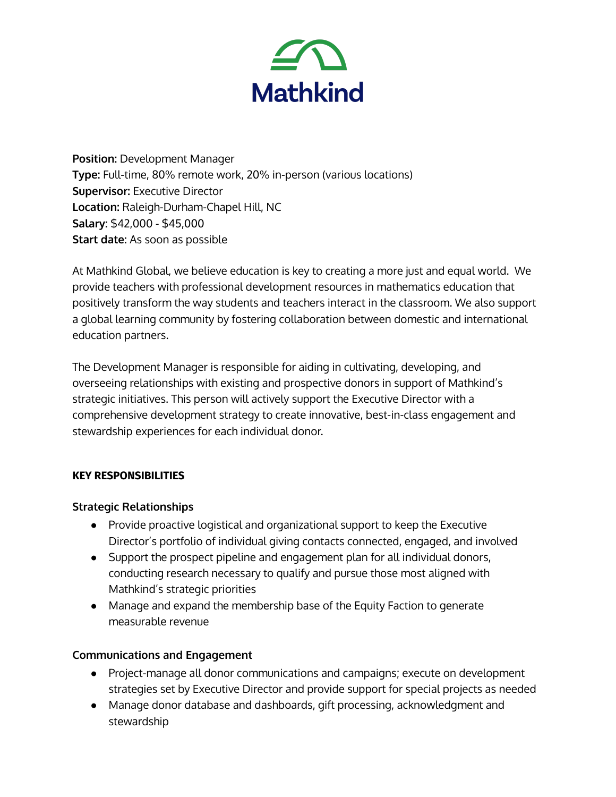

**Position:** Development Manager **Type:** Full-time, 80% remote work, 20% in-person (various locations) **Supervisor:** Executive Director **Location:** Raleigh-Durham-Chapel Hill, NC **Salary:** \$42,000 - \$45,000 **Start date:** As soon as possible

At Mathkind Global, we believe education is key to creating a more just and equal world. We provide teachers with professional development resources in mathematics education that positively transform the way students and teachers interact in the classroom. We also support a global learning community by fostering collaboration between domestic and international education partners.

The Development Manager is responsible for aiding in cultivating, developing, and overseeing relationships with existing and prospective donors in support of Mathkind's strategic initiatives. This person will actively support the Executive Director with a comprehensive development strategy to create innovative, best-in-class engagement and stewardship experiences for each individual donor.

### **KEY RESPONSIBILITIES**

### **Strategic Relationships**

- Provide proactive logistical and organizational support to keep the Executive Director's portfolio of individual giving contacts connected, engaged, and involved
- Support the prospect pipeline and engagement plan for all individual donors, conducting research necessary to qualify and pursue those most aligned with Mathkind's strategic priorities
- Manage and expand the membership base of the Equity Faction to generate measurable revenue

### **Communications and Engagement**

- Project-manage all donor communications and campaigns; execute on development strategies set by Executive Director and provide support for special projects as needed
- Manage donor database and dashboards, gift processing, acknowledgment and stewardship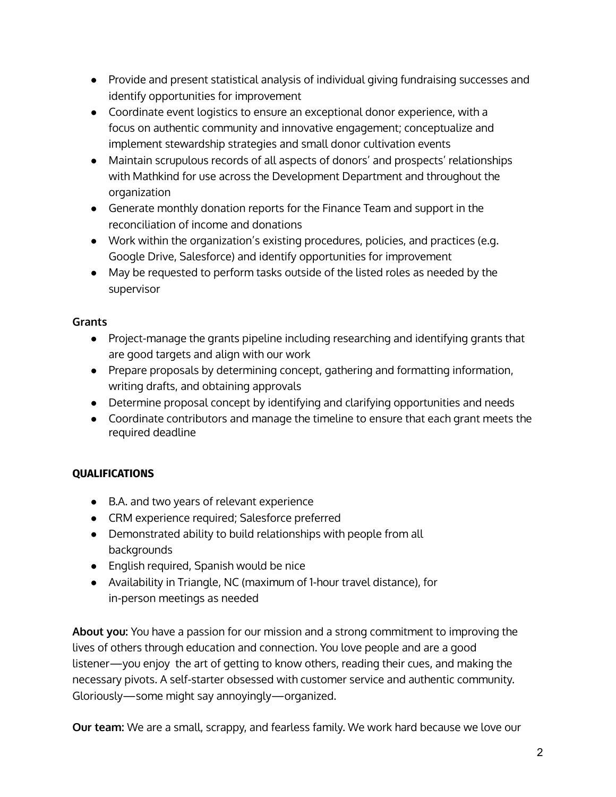- Provide and present statistical analysis of individual giving fundraising successes and identify opportunities for improvement
- Coordinate event logistics to ensure an exceptional donor experience, with a focus on authentic community and innovative engagement; conceptualize and implement stewardship strategies and small donor cultivation events
- Maintain scrupulous records of all aspects of donors' and prospects' relationships with Mathkind for use across the Development Department and throughout the organization
- Generate monthly donation reports for the Finance Team and support in the reconciliation of income and donations
- Work within the organization's existing procedures, policies, and practices (e.g. Google Drive, Salesforce) and identify opportunities for improvement
- May be requested to perform tasks outside of the listed roles as needed by the supervisor

## **Grants**

- Project-manage the grants pipeline including researching and identifying grants that are good targets and align with our work
- Prepare proposals by determining concept, gathering and formatting information, writing drafts, and obtaining approvals
- Determine proposal concept by identifying and clarifying opportunities and needs
- Coordinate contributors and manage the timeline to ensure that each grant meets the required deadline

# **QUALIFICATIONS**

- B.A. and two years of relevant experience
- CRM experience required; Salesforce preferred
- Demonstrated ability to build relationships with people from all backgrounds
- English required, Spanish would be nice
- Availability in Triangle, NC (maximum of 1-hour travel distance), for in-person meetings as needed

**About you:** You have a passion for our mission and a strong commitment to improving the lives of others through education and connection. You love people and are a good listener—you enjoy the art of getting to know others, reading their cues, and making the necessary pivots. A self-starter obsessed with customer service and authentic community. Gloriously—some might say annoyingly—organized.

**Our team:** We are a small, scrappy, and fearless family. We work hard because we love our